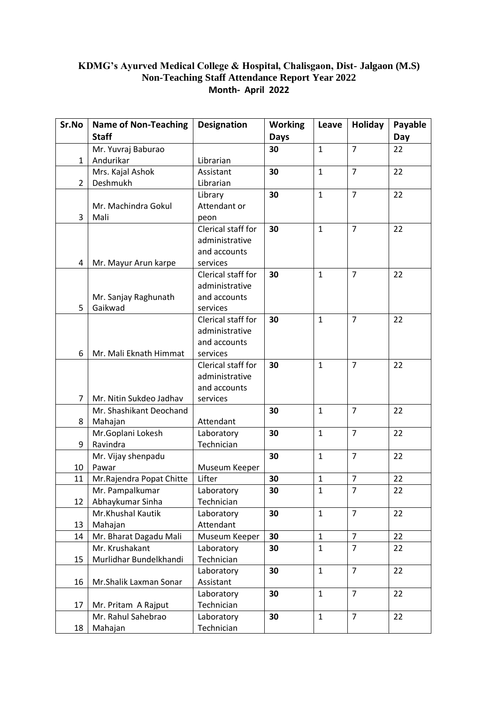## **KDMG's Ayurved Medical College & Hospital, Chalisgaon, Dist- Jalgaon (M.S) Non-Teaching Staff Attendance Report Year 2022 Month- April 2022**

| Sr.No          | <b>Name of Non-Teaching</b> | <b>Designation</b> | <b>Working</b> | Leave        | Holiday        | Payable |
|----------------|-----------------------------|--------------------|----------------|--------------|----------------|---------|
|                | <b>Staff</b>                |                    | <b>Days</b>    |              |                | Day     |
|                | Mr. Yuvraj Baburao          |                    | 30             | $\mathbf{1}$ | $\overline{7}$ | 22      |
| 1              | Andurikar                   | Librarian          |                |              |                |         |
|                | Mrs. Kajal Ashok            | Assistant          | 30             | $\mathbf{1}$ | $\overline{7}$ | 22      |
| $\overline{2}$ | Deshmukh                    | Librarian          |                |              |                |         |
|                |                             | Library            | 30             | $\mathbf{1}$ | $\overline{7}$ | 22      |
|                | Mr. Machindra Gokul         | Attendant or       |                |              |                |         |
| 3              | Mali                        | peon               |                |              |                |         |
|                |                             | Clerical staff for | 30             | $\mathbf{1}$ | $\overline{7}$ | 22      |
|                |                             | administrative     |                |              |                |         |
|                |                             | and accounts       |                |              |                |         |
| 4              | Mr. Mayur Arun karpe        | services           |                |              |                |         |
|                |                             | Clerical staff for | 30             | $\mathbf{1}$ | $\overline{7}$ | 22      |
|                |                             | administrative     |                |              |                |         |
|                | Mr. Sanjay Raghunath        | and accounts       |                |              |                |         |
| 5              | Gaikwad                     | services           |                |              |                |         |
|                |                             | Clerical staff for | 30             | $\mathbf{1}$ | $\overline{7}$ | 22      |
|                |                             | administrative     |                |              |                |         |
|                |                             | and accounts       |                |              |                |         |
| 6              | Mr. Mali Eknath Himmat      | services           |                |              |                |         |
|                |                             | Clerical staff for | 30             | $\mathbf{1}$ | $\overline{7}$ | 22      |
|                |                             | administrative     |                |              |                |         |
|                |                             | and accounts       |                |              |                |         |
| $\overline{7}$ | Mr. Nitin Sukdeo Jadhav     | services           |                |              |                |         |
|                | Mr. Shashikant Deochand     |                    | 30             | $\mathbf{1}$ | $\overline{7}$ | 22      |
| 8              | Mahajan                     | Attendant          |                |              |                |         |
|                | Mr.Goplani Lokesh           | Laboratory         | 30             | $\mathbf{1}$ | $\overline{7}$ | 22      |
| 9              | Ravindra                    | Technician         |                |              |                |         |
|                | Mr. Vijay shenpadu          |                    | 30             | $\mathbf{1}$ | $\overline{7}$ | 22      |
| 10             | Pawar                       | Museum Keeper      |                |              |                |         |
| 11             | Mr. Rajendra Popat Chitte   | Lifter             | 30             | 1            | $\overline{7}$ | 22      |
|                | Mr. Pampalkumar             | Laboratory         | 30             | $\mathbf{1}$ | $\overline{7}$ | $22\,$  |
| 12             | Abhaykumar Sinha            | Technician         |                |              |                |         |
|                | Mr.Khushal Kautik           | Laboratory         | 30             | $\mathbf{1}$ | $\overline{7}$ | 22      |
| 13             | Mahajan                     | Attendant          |                |              |                |         |
| 14             | Mr. Bharat Dagadu Mali      | Museum Keeper      | 30             | $\mathbf{1}$ | $\overline{7}$ | 22      |
|                | Mr. Krushakant              | Laboratory         | 30             | $\mathbf{1}$ | $\overline{7}$ | 22      |
| 15             | Murlidhar Bundelkhandi      | Technician         |                |              |                |         |
|                |                             | Laboratory         | 30             | $\mathbf{1}$ | $\overline{7}$ | 22      |
| 16             | Mr.Shalik Laxman Sonar      | Assistant          |                |              |                |         |
|                |                             | Laboratory         | 30             | $\mathbf{1}$ | $\overline{7}$ | 22      |
| 17             | Mr. Pritam A Rajput         | Technician         |                |              |                |         |
|                | Mr. Rahul Sahebrao          | Laboratory         | 30             | $\mathbf{1}$ | $\overline{7}$ | 22      |
| 18             | Mahajan                     | Technician         |                |              |                |         |